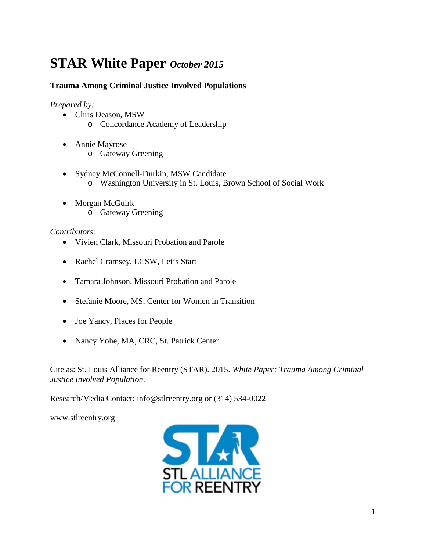# **STAR White Paper** *October 2015*

# **Trauma Among Criminal Justice Involved Populations**

*Prepared by:*

- Chris Deason, MSW
	- o Concordance Academy of Leadership
- Annie Mayrose
	- o Gateway Greening
- Sydney McConnell-Durkin, MSW Candidate o Washington University in St. Louis, Brown School of Social Work
- Morgan McGuirk o Gateway Greening

#### *Contributors:*

- Vivien Clark, Missouri Probation and Parole
- Rachel Cramsey, LCSW, Let's Start
- Tamara Johnson, Missouri Probation and Parole
- Stefanie Moore, MS, Center for Women in Transition
- Joe Yancy, Places for People
- Nancy Yohe, MA, CRC, St. Patrick Center

Cite as: St. Louis Alliance for Reentry (STAR). 2015. *White Paper: Trauma Among Criminal Justice Involved Population.*

Research/Media Contact: info@stlreentry.org or (314) 534-0022

[www.stlreentry.org](http://www.stlreentry.org/)

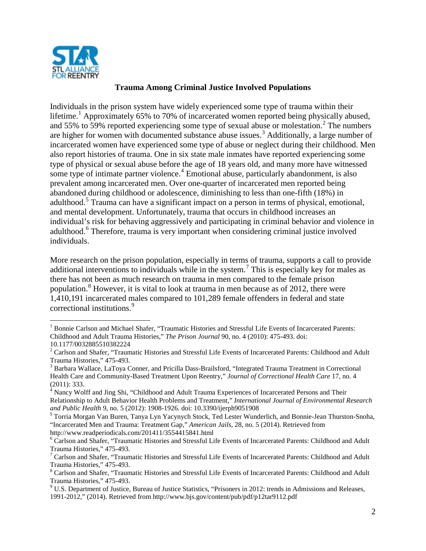

### **Trauma Among Criminal Justice Involved Populations**

Individuals in the prison system have widely experienced some type of trauma within their lifetime.<sup>[1](#page-1-0)</sup> Approximately 65% to 70% of incarcerated women reported being physically abused, and 55% to 59% reported experiencing some type of sexual abuse or molestation.[2](#page-1-1) The numbers are higher for women with documented substance abuse issues. [3](#page-1-2) Additionally, a large number of incarcerated women have experienced some type of abuse or neglect during their childhood. Men also report histories of trauma. One in six state male inmates have reported experiencing some type of physical or sexual abuse before the age of 18 years old, and many more have witnessed some type of intimate partner violence.<sup>[4](#page-1-3)</sup> Emotional abuse, particularly abandonment, is also prevalent among incarcerated men. Over one-quarter of incarcerated men reported being abandoned during childhood or adolescence, diminishing to less than one-fifth (18%) in adulthood.<sup>[5](#page-1-4)</sup> Trauma can have a significant impact on a person in terms of physical, emotional, and mental development. Unfortunately, trauma that occurs in childhood increases an individual's risk for behaving aggressively and participating in criminal behavior and violence in adulthood.<sup>[6](#page-1-5)</sup> Therefore, trauma is very important when considering criminal justice involved individuals.

More research on the prison population, especially in terms of trauma, supports a call to provide additional interventions to individuals while in the system.<sup>[7](#page-1-6)</sup> This is especially key for males as there has not been as much research on trauma in men compared to the female prison population.<sup>[8](#page-1-7)</sup> However, it is vital to look at trauma in men because as of 2012, there were 1,410,191 incarcerated males compared to 101,289 female offenders in federal and state correctional institutions.<sup>[9](#page-1-8)</sup>

<span id="page-1-0"></span><sup>&</sup>lt;sup>1</sup> Bonnie Carlson and Michael Shafer, "Traumatic Histories and Stressful Life Events of Incarcerated Parents: Childhood and Adult Trauma Histories," *The Prison Journal* 90, no. 4 (2010): 475-493. doi: 10.1177/0032885510382224

<span id="page-1-1"></span><sup>&</sup>lt;sup>2</sup> Carlson and Shafer, "Traumatic Histories and Stressful Life Events of Incarcerated Parents: Childhood and Adult Trauma Histories," 475-493.<br><sup>3</sup> Barbara Wallace, LaToya Conner, and Pricilla Dass-Brailsford, "Integrated Trauma Treatment in Correctional

<span id="page-1-2"></span>Health Care and Community-Based Treatment Upon Reentry," *Journal of Correctional Health Care* 17, no. 4 (2011): 333.

<span id="page-1-3"></span> $4 \text{ Nancy Wolf}$  and Jing Shi, "Childhood and Adult Trauma Experiences of Incarcerated Persons and Their Relationship to Adult Behavior Health Problems and Treatment," *International Journal of Environmental Research and Public Health* 9, no. 5 (2012): 1908-1926. doi: 10.3390/ijerph9051908<br><sup>5</sup> Torria Morgan Van Buren, Tanya Lyn Yacynych Stock, Ted Lester Wunderlich, and Bonnie-Jean Thurston-Snoha,

<span id="page-1-9"></span><span id="page-1-4"></span><sup>&</sup>quot;Incarcerated Men and Trauma: Treatment Gap," *American Jails*, 28, no. 5 (2014). Retrieved from http://www.readperiodicals.com/201411/3554415841.html

<span id="page-1-5"></span><sup>&</sup>lt;sup>6</sup> Carlson and Shafer, "Traumatic Histories and Stressful Life Events of Incarcerated Parents: Childhood and Adult Trauma Histories," 475-493.<br><sup>7</sup> Carlson and Shafer, "Traumatic Histories and Stressful Life Events of Incarcerated Parents: Childhood and Adult

<span id="page-1-6"></span>Trauma Histories," 475-493.<br><sup>8</sup> Carlson and Shafer, "Traumatic Histories and Stressful Life Events of Incarcerated Parents: Childhood and Adult

<span id="page-1-7"></span>

<span id="page-1-8"></span>Trauma Histories," 475-493.<br><sup>9</sup> U.S. Department of Justice, Bureau of Justice Statistics, "Prisoners in 2012: trends in Admissions and Releases, 1991-2012," (2014). Retrieved from http://www.bjs.gov/content/pub/pdf/p12tar9112.pdf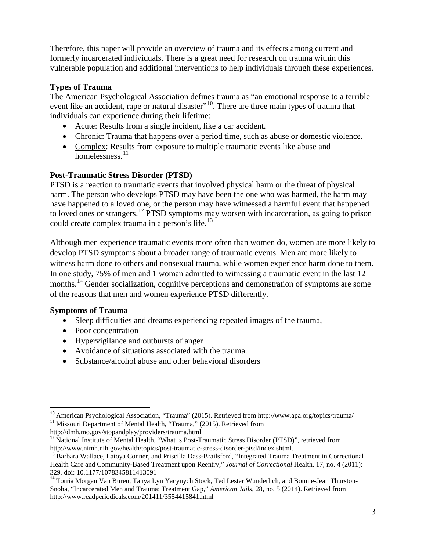Therefore, this paper will provide an overview of trauma and its effects among current and formerly incarcerated individuals. There is a great need for research on trauma within this vulnerable population and additional interventions to help individuals through these experiences.

# **Types of Trauma**

The American Psychological Association defines trauma as "an emotional response to a terrible event like an accident, rape or natural disaster<sup>"[10](#page-1-9)</sup>. There are three main types of trauma that individuals can experience during their lifetime:

- Acute: Results from a single incident, like a car accident.
- Chronic: Trauma that happens over a period time, such as abuse or domestic violence.
- Complex: Results from exposure to multiple traumatic events like abuse and homelessness. [11](#page-2-0)

### **Post-Traumatic Stress Disorder (PTSD)**

PTSD is a reaction to traumatic events that involved physical harm or the threat of physical harm. The person who develops PTSD may have been the one who was harmed, the harm may have happened to a loved one, or the person may have witnessed a harmful event that happened to loved ones or strangers.<sup>[12](#page-2-1)</sup> PTSD symptoms may worsen with incarceration, as going to prison could create complex trauma in a person's life. $^{13}$  $^{13}$  $^{13}$ 

Although men experience traumatic events more often than women do, women are more likely to develop PTSD symptoms about a broader range of traumatic events. Men are more likely to witness harm done to others and nonsexual trauma, while women experience harm done to them. In one study, 75% of men and 1 woman admitted to witnessing a traumatic event in the last 12 months.<sup>[14](#page-2-3)</sup> Gender socialization, cognitive perceptions and demonstration of symptoms are some of the reasons that men and women experience PTSD differently.

### **Symptoms of Trauma**

- Sleep difficulties and dreams experiencing repeated images of the trauma,
- Poor concentration
- Hypervigilance and outbursts of anger
- Avoidance of situations associated with the trauma.
- Substance/alcohol abuse and other behavioral disorders

<span id="page-2-0"></span>http://dmh.mo.gov/stopandplay/providers/trauma.html

<span id="page-2-4"></span><sup>&</sup>lt;sup>10</sup> American Psychological Association, "Trauma" (2015). Retrieved from http://www.apa.org/topics/trauma/<br><sup>11</sup> Missouri Department of Mental Health, "Trauma," (2015). Retrieved from

<span id="page-2-1"></span><sup>&</sup>lt;sup>12</sup> National Institute of Mental Health, "What is Post-Traumatic Stress Disorder (PTSD)", retrieved from http://www.nimh.nih.gov/health/topics/post-traumatic-stress-disorder-ptsd/index.shtml.

<span id="page-2-2"></span><sup>&</sup>lt;sup>13</sup> Barbara Wallace, Latoya Conner, and Priscilla Dass-Brailsford, "Integrated Trauma Treatment in Correctional Health Care and Community-Based Treatment upon Reentry," *Journal of Correctional* Health, 17, no. 4 (2011):

<span id="page-2-3"></span><sup>329.</sup> doi: 10.1177/1078345811413091<br><sup>14</sup> Torria Morgan Van Buren, Tanya Lyn Yacynych Stock, Ted Lester Wunderlich, and Bonnie-Jean Thurston-Snoha, "Incarcerated Men and Trauma: Treatment Gap," *American Jails*, 28, no. 5 (2014). Retrieved from http://www.readperiodicals.com/201411/3554415841.html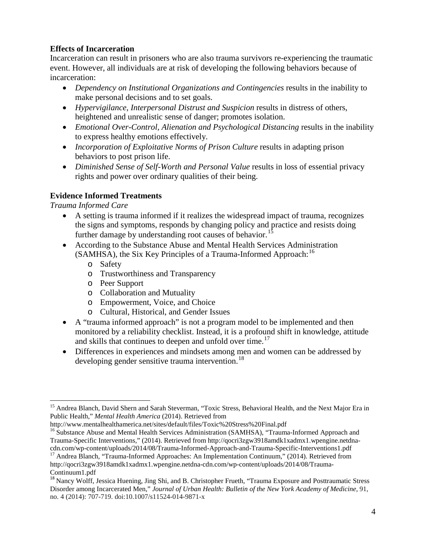### **Effects of Incarceration**

Incarceration can result in prisoners who are also trauma survivors re-experiencing the traumatic event. However, all individuals are at risk of developing the following behaviors because of incarceration:

- *Dependency on Institutional Organizations and Contingencies* results in the inability to make personal decisions and to set goals.
- *Hypervigilance, Interpersonal Distrust and Suspicion* results in distress of others, heightened and unrealistic sense of danger; promotes isolation.
- *Emotional Over-Control, Alienation and Psychological Distancing* results in the inability to express healthy emotions effectively.
- *Incorporation of Exploitative Norms of Prison Culture* results in adapting prison behaviors to post prison life.
- *Diminished Sense of Self-Worth and Personal Value* results in loss of essential privacy rights and power over ordinary qualities of their being.

# **Evidence Informed Treatments**

*Trauma Informed Care*

- A setting is trauma informed if it realizes the widespread impact of trauma, recognizes the signs and symptoms, responds by changing policy and practice and resists doing further damage by understanding root causes of behavior.<sup>[15](#page-2-4)</sup>
- According to the Substance Abuse and Mental Health Services Administration (SAMHSA), the Six Key Principles of a Trauma-Informed Approach:<sup>[16](#page-3-0)</sup>
	- o Safety
	- o Trustworthiness and Transparency
	- o Peer Support
	- o Collaboration and Mutuality
	- o Empowerment, Voice, and Choice
	- o Cultural, Historical, and Gender Issues
- A "trauma informed approach" is not a program model to be implemented and then monitored by a reliability checklist. Instead, it is a profound shift in knowledge, attitude and skills that continues to deepen and unfold over time.<sup>[17](#page-3-1)</sup>
- Differences in experiences and mindsets among men and women can be addressed by developing gender sensitive trauma intervention.<sup>[18](#page-3-2)</sup>

<http://www.mentalhealthamerica.net/sites/default/files/Toxic%20Stress%20Final.pdf>

<span id="page-3-3"></span><sup>&</sup>lt;sup>15</sup> Andrea Blanch, David Shern and Sarah Steverman, "Toxic Stress, Behavioral Health, and the Next Major Era in Public Health," *Mental Health America* (2014). Retrieved from

<span id="page-3-0"></span><sup>&</sup>lt;sup>16</sup> Substance Abuse and Mental Health Services Administration (SAMHSA), "Trauma-Informed Approach and Trauma-Specific Interventions," (2014). Retrieved from [http://qocri3zgw3918amdk1xadmx1.wpengine.netdna-](http://qocri3zgw3918amdk1xadmx1.wpengine.netdna-cdn.com/wp-content/uploads/2014/08/Trauma-Informed-Approach-and-Trauma-Specific-Interventions1.pdf)

<span id="page-3-1"></span>[cdn.com/wp-content/uploads/2014/08/Trauma-Informed-Approach-and-Trauma-Specific-Interventions1.pdf](http://qocri3zgw3918amdk1xadmx1.wpengine.netdna-cdn.com/wp-content/uploads/2014/08/Trauma-Informed-Approach-and-Trauma-Specific-Interventions1.pdf) <sup>17</sup> Andrea Blanch, "Trauma-Informed Approaches: An Implementation Continuum," (2014). Retrieved from http://qocri3zgw3918amdk1xadmx1.wpengine.netdna-cdn.com/wp-content/uploads/2014/08/Trauma-Continuum1.pdf

<span id="page-3-2"></span><sup>&</sup>lt;sup>18</sup> Nancy Wolff, Jessica Huening, Jing Shi, and B. Christopher Frueth, "Trauma Exposure and Posttraumatic Stress Disorder among Incarcerated Men," *Journal of Urban Health: Bulletin of the New York Academy of Medicine,* 91, no. 4 (2014): 707-719. doi:10.1007/s11524-014-9871-x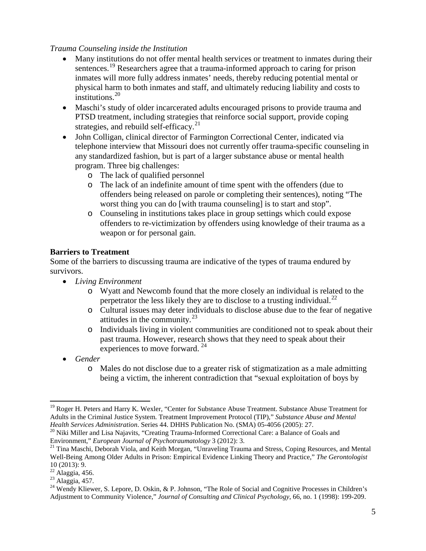#### *Trauma Counseling inside the Institution*

- Many institutions do not offer mental health services or treatment to inmates during their sentences.<sup>[19](#page-3-3)</sup> Researchers agree that a trauma-informed approach to caring for prison inmates will more fully address inmates' needs, thereby reducing potential mental or physical harm to both inmates and staff, and ultimately reducing liability and costs to institutions.<sup>[20](#page-4-0)</sup>
- Maschi's study of older incarcerated adults encouraged prisons to provide trauma and PTSD treatment, including strategies that reinforce social support, provide coping strategies, and rebuild self-efficacy.<sup>[21](#page-4-1)</sup>
- John Colligan, clinical director of Farmington Correctional Center, indicated via telephone interview that Missouri does not currently offer trauma-specific counseling in any standardized fashion, but is part of a larger substance abuse or mental health program. Three big challenges:
	- o The lack of qualified personnel
	- o The lack of an indefinite amount of time spent with the offenders (due to offenders being released on parole or completing their sentences), noting "The worst thing you can do [with trauma counseling] is to start and stop".
	- o Counseling in institutions takes place in group settings which could expose offenders to re-victimization by offenders using knowledge of their trauma as a weapon or for personal gain.

#### **Barriers to Treatment**

Some of the barriers to discussing trauma are indicative of the types of trauma endured by survivors.

- *Living Environment*
	- o Wyatt and Newcomb found that the more closely an individual is related to the perpetrator the less likely they are to disclose to a trusting individual.<sup>[22](#page-4-2)</sup>
	- o Cultural issues may deter individuals to disclose abuse due to the fear of negative attitudes in the community.<sup>[23](#page-4-3)</sup>
	- o Individuals living in violent communities are conditioned not to speak about their past trauma. However, research shows that they need to speak about their experiences to move forward. [24](#page-4-4)
- *Gender*
	- o Males do not disclose due to a greater risk of stigmatization as a male admitting being a victim, the inherent contradiction that "sexual exploitation of boys by

<span id="page-4-5"></span><sup>&</sup>lt;sup>19</sup> Roger H. Peters and Harry K. Wexler, "Center for Substance Abuse Treatment. Substance Abuse Treatment for Adults in the Criminal Justice System. Treatment Improvement Protocol (TIP)," *Substance Abuse and Mental* 

<span id="page-4-0"></span><sup>&</sup>lt;sup>20</sup> Niki Miller and Lisa Najavits, "Creating Trauma-Informed Correctional Care: a Balance of Goals and Environment," *European Journal of Psychotraumatology* 3 (2012): 3.

<span id="page-4-1"></span><sup>&</sup>lt;sup>21</sup> Tina Maschi, Deborah Viola, and Keith Morgan, "Unraveling Trauma and Stress, Coping Resources, and Mental Well-Being Among Older Adults in Prison: Empirical Evidence Linking Theory and Practice," *The Gerontologist* 10 (2013): 9.<br><sup>22</sup> Alaggia, 456.

<span id="page-4-4"></span><span id="page-4-3"></span><span id="page-4-2"></span>Alaggia, 456.<br><sup>23</sup> Alaggia, 457.<br><sup>24</sup> Wendy Kliewer, S. Lepore, D. Oskin, & P. Johnson, "The Role of Social and Cognitive Processes in Children's Adjustment to Community Violence," *Journal of Consulting and Clinical Psychology*, 66, no. 1 (1998): 199-209.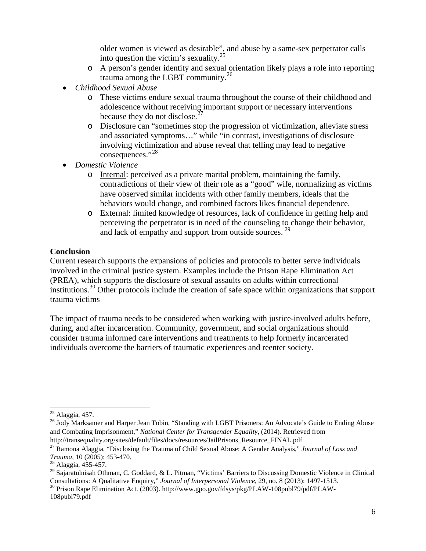older women is viewed as desirable", and abuse by a same-sex perpetrator calls into question the victim's sexuality.<sup>[25](#page-4-5)</sup>

- o A person's gender identity and sexual orientation likely plays a role into reporting trauma among the LGBT community.<sup>[26](#page-5-0)</sup>
- *Childhood Sexual Abuse*
	- o These victims endure sexual trauma throughout the course of their childhood and adolescence without receiving important support or necessary interventions because they do not disclose. $27$
	- o Disclosure can "sometimes stop the progression of victimization, alleviate stress and associated symptoms…" while "in contrast, investigations of disclosure involving victimization and abuse reveal that telling may lead to negative consequences."[28](#page-5-2)
- *Domestic Violence*
	- o Internal: perceived as a private marital problem, maintaining the family, contradictions of their view of their role as a "good" wife, normalizing as victims have observed similar incidents with other family members, ideals that the behaviors would change, and combined factors likes financial dependence.
	- o External: limited knowledge of resources, lack of confidence in getting help and perceiving the perpetrator is in need of the counseling to change their behavior, and lack of empathy and support from outside sources.<sup>[29](#page-5-3)</sup>

# **Conclusion**

Current research supports the expansions of policies and protocols to better serve individuals involved in the criminal justice system. Examples include the Prison Rape Elimination Act (PREA), which supports the disclosure of sexual assaults on adults within correctional institutions.<sup>[30](#page-5-4)</sup> Other protocols include the creation of safe space within organizations that support trauma victims

The impact of trauma needs to be considered when working with justice-involved adults before, during, and after incarceration. Community, government, and social organizations should consider trauma informed care interventions and treatments to help formerly incarcerated individuals overcome the barriers of traumatic experiences and reenter society.

<span id="page-5-0"></span><sup>&</sup>lt;sup>25</sup> Alaggia, 457.<br><sup>26</sup> Jody Marksamer and Harper Jean Tobin, "Standing with LGBT Prisoners: An Advocate's Guide to Ending Abuse and Combating Imprisonment," *National Center for Transgender Equality*, (2014). Retrieved from http://transequality.org/sites/default/files/docs/resources/JailPrisons\_Resource\_FINAL.pdf

<span id="page-5-1"></span><sup>27</sup> Ramona Alaggia, "Disclosing the Trauma of Child Sexual Abuse: A Gender Analysis," *Journal of Loss and* 

<sup>&</sup>lt;sup>28</sup> Alaggia, 455-457.

<span id="page-5-3"></span><span id="page-5-2"></span><sup>&</sup>lt;sup>29</sup> Sajaratulnisah Othman, C. Goddard, & L. Pitman, "Victims' Barriers to Discussing Domestic Violence in Clinical Consultations: A Qualitative Enquiry," *Journal of Interpersonal Violence*, 29, no. 8 (2013): 1497-1513. <sup>30</sup> Prison Rape Elimination Act. (2003). http://www.gpo.gov/fdsys/pkg/PLAW-108publ79/pdf/PLAW-

<span id="page-5-4"></span><sup>108</sup>publ79.pdf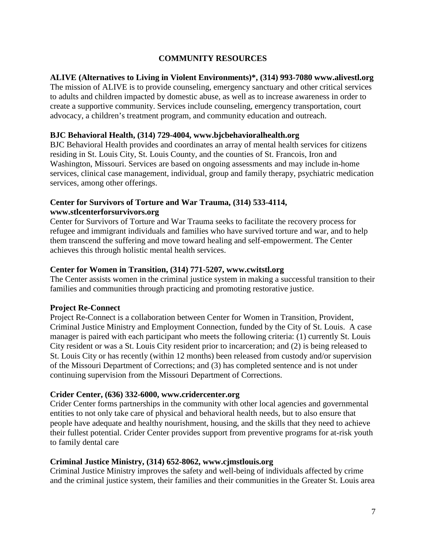# **COMMUNITY RESOURCES**

# **ALIVE (Alternatives to Living in Violent Environments)\*, (314) 993-7080 [www.alivestl.org](http://www.alivestl.org/)**

The mission of ALIVE is to provide counseling, emergency sanctuary and other critical services to adults and children impacted by domestic abuse, as well as to increase awareness in order to create a supportive community. Services include counseling, emergency transportation, court advocacy, a children's treatment program, and community education and outreach.

#### **BJC Behavioral Health, (314) 729-4004, [www.bjcbehavioralhealth.org](http://www.bjcbehavioralhealth.org/)**

BJC Behavioral Health provides and coordinates an array of mental health services for citizens residing in St. Louis City, St. Louis County, and the counties of St. Francois, Iron and Washington, Missouri. Services are based on ongoing assessments and may include in-home services, clinical case management, individual, group and family therapy, psychiatric medication services, among other offerings.

# **Center for Survivors of Torture and War Trauma, (314) 533-4114, [www.stlcenterforsurvivors.org](http://www.stlcenterforsurvivors.org/)**

Center for Survivors of Torture and War Trauma seeks to facilitate the recovery process for refugee and immigrant individuals and families who have survived torture and war, and to help them transcend the suffering and move toward healing and self-empowerment. The Center achieves this through holistic mental health services.

#### **Center for Women in Transition, (314) 771-5207, [www.cwitstl.org](http://www.cwitstl.org/)**

The Center assists women in the criminal justice system in making a successful transition to their families and communities through practicing and promoting restorative justice.

### **Project Re-Connect**

Project Re-Connect is a collaboration between Center for Women in Transition, Provident, Criminal Justice Ministry and Employment Connection, funded by the City of St. Louis. A case manager is paired with each participant who meets the following criteria: (1) currently St. Louis City resident or was a St. Louis City resident prior to incarceration; and (2) is being released to St. Louis City or has recently (within 12 months) been released from custody and/or supervision of the Missouri Department of Corrections; and (3) has completed sentence and is not under continuing supervision from the Missouri Department of Corrections.

### **Crider Center, (636) 332-6000, [www.cridercenter.org](http://www.cridercenter.org/)**

Crider Center forms partnerships in the community with other local agencies and governmental entities to not only take care of physical and behavioral health needs, but to also ensure that people have adequate and healthy nourishment, housing, and the skills that they need to achieve their fullest potential. Crider Center provides support from preventive programs for at-risk youth to family dental care

### **Criminal Justice Ministry, (314) 652-8062, [www.cjmstlouis.org](http://www.cjmstlouis.org/)**

Criminal Justice Ministry improves the safety and well-being of individuals affected by crime and the criminal justice system, their families and their communities in the Greater St. Louis area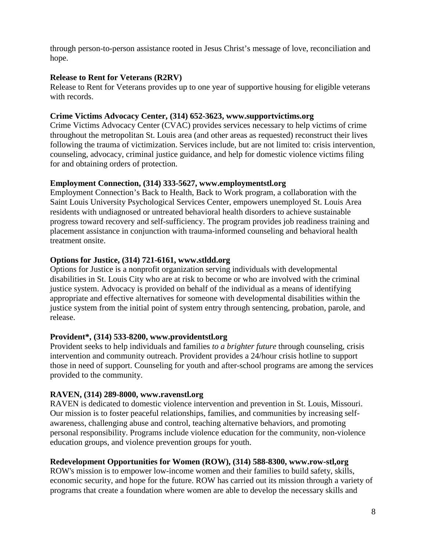through person-to-person assistance rooted in Jesus Christ's message of love, reconciliation and hope.

### **Release to Rent for Veterans (R2RV)**

Release to Rent for Veterans provides up to one year of supportive housing for eligible veterans with records.

### **Crime Victims Advocacy Center, (314) 652-3623, [www.supportvictims.org](http://www.supportvictims.org/)**

Crime Victims Advocacy Center (CVAC) provides services necessary to help victims of crime throughout the metropolitan St. Louis area (and other areas as requested) reconstruct their lives following the trauma of victimization. Services include, but are not limited to: crisis intervention, counseling, advocacy, criminal justice guidance, and help for domestic violence victims filing for and obtaining orders of protection.

# **Employment Connection, (314) 333-5627, [www.employmentstl.org](http://www.employmentstl.org/)**

Employment Connection's Back to Health, Back to Work program, a collaboration with the Saint Louis University Psychological Services Center, empowers unemployed St. Louis Area residents with undiagnosed or untreated behavioral health disorders to achieve sustainable progress toward recovery and self-sufficiency. The program provides job readiness training and placement assistance in conjunction with trauma-informed counseling and behavioral health treatment onsite.

# **Options for Justice, (314) 721-6161, [www.stldd.org](http://www.stldd.org/)**

Options for Justice is a nonprofit organization serving individuals with developmental disabilities in St. Louis City who are at risk to become or who are involved with the criminal justice system. Advocacy is provided on behalf of the individual as a means of identifying appropriate and effective alternatives for someone with developmental disabilities within the justice system from the initial point of system entry through sentencing, probation, parole, and release.

# **Provident\*, (314) 533-8200, [www.providentstl.org](http://www.providentstl.org/)**

Provident seeks to help individuals and families *to a brighter future* through counseling, crisis intervention and community outreach. Provident provides a 24/hour crisis hotline to support those in need of support. Counseling for youth and after-school programs are among the services provided to the community.

# **RAVEN, (314) 289-8000, [www.ravenstl.org](http://www.ravenstl.org/)**

RAVEN is dedicated to domestic violence intervention and prevention in St. Louis, Missouri. Our mission is to foster peaceful relationships, families, and communities by increasing selfawareness, challenging abuse and control, teaching alternative behaviors, and promoting personal responsibility. Programs include violence education for the community, non-violence education groups, and violence prevention groups for youth.

# **Redevelopment Opportunities for Women (ROW), (314) 588-8300, [www.row-stl,org](http://www.row-stl,org/)**

ROW's mission is to empower low-income women and their families to build safety, skills, economic security, and hope for the future. ROW has carried out its mission through a variety of programs that create a foundation where women are able to develop the necessary skills and